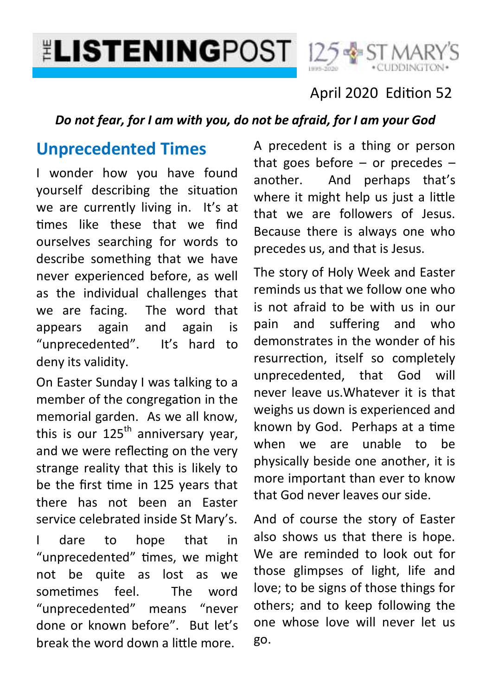# **ELISTENINGPOST**

April 2020 Edition 52

### *Do not fear, for I am with you, do not be afraid, for I am your God*

# **Unprecedented Times**

I wonder how you have found yourself describing the situation we are currently living in. It's at times like these that we find ourselves searching for words to describe something that we have never experienced before, as well as the individual challenges that we are facing. The word that appears again and again is "unprecedented". It's hard to deny its validity.

On Easter Sunday I was talking to a member of the congregation in the memorial garden. As we all know, this is our  $125<sup>th</sup>$  anniversary year, and we were reflecting on the very strange reality that this is likely to be the first time in 125 years that there has not been an Easter service celebrated inside St Mary's. I dare to hope that in "unprecedented" times, we might not be quite as lost as we sometimes feel. The word "unprecedented" means "never done or known before". But let's break the word down a little more.

A precedent is a thing or person that goes before  $-$  or precedes  $$ another. And perhaps that's where it might help us just a little that we are followers of Jesus. Because there is always one who precedes us, and that is Jesus.

The story of Holy Week and Easter reminds us that we follow one who is not afraid to be with us in our pain and suffering and who demonstrates in the wonder of his resurrection, itself so completely unprecedented, that God will never leave us.Whatever it is that weighs us down is experienced and known by God. Perhaps at a time when we are unable to be physically beside one another, it is more important than ever to know that God never leaves our side.

And of course the story of Easter also shows us that there is hope. We are reminded to look out for those glimpses of light, life and love; to be signs of those things for others; and to keep following the one whose love will never let us go.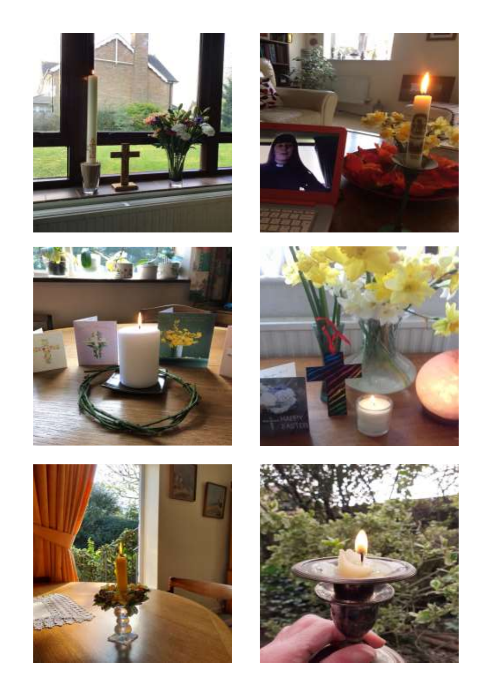









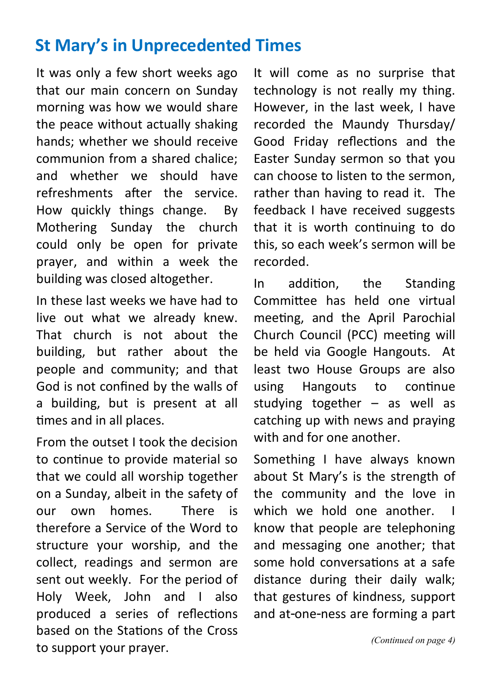# **St Mary's in Unprecedented Times**

It was only a few short weeks ago that our main concern on Sunday morning was how we would share the peace without actually shaking hands; whether we should receive communion from a shared chalice; and whether we should have refreshments after the service. How quickly things change. By Mothering Sunday the church could only be open for private prayer, and within a week the building was closed altogether.

In these last weeks we have had to live out what we already knew. That church is not about the building, but rather about the people and community; and that God is not confined by the walls of a building, but is present at all times and in all places.

From the outset I took the decision to continue to provide material so that we could all worship together on a Sunday, albeit in the safety of our own homes. There is therefore a Service of the Word to structure your worship, and the collect, readings and sermon are sent out weekly. For the period of Holy Week, John and I also produced a series of reflections based on the Stations of the Cross to support your prayer.

It will come as no surprise that technology is not really my thing. However, in the last week, I have recorded the Maundy Thursday/ Good Friday reflections and the Easter Sunday sermon so that you can choose to listen to the sermon, rather than having to read it. The feedback I have received suggests that it is worth continuing to do this, so each week's sermon will be recorded.

In addition, the Standing Committee has held one virtual meeting, and the April Parochial Church Council (PCC) meeting will be held via Google Hangouts. At least two House Groups are also using Hangouts to continue studying together – as well as catching up with news and praying with and for one another.

Something I have always known about St Mary's is the strength of the community and the love in which we hold one another. I know that people are telephoning and messaging one another; that some hold conversations at a safe distance during their daily walk; that gestures of kindness, support and at-one-ness are forming a part

*(Continued on page 4)*